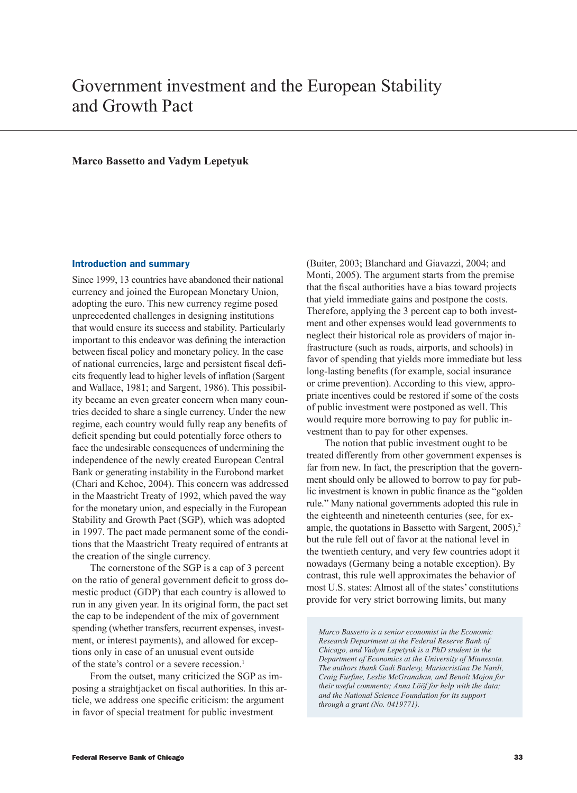# Government investment and the European Stability and Growth Pact

## **Marco Bassetto and Vadym Lepetyuk**

#### Introduction and summary

Since 1999, 13 countries have abandoned their national currency and joined the European Monetary Union, adopting the euro. This new currency regime posed unprecedented challenges in designing institutions that would ensure its success and stability. Particularly important to this endeavor was defining the interaction between fiscal policy and monetary policy. In the case of national currencies, large and persistent fiscal deficits frequently lead to higher levels of inflation (Sargent and Wallace, 1981; and Sargent, 1986). This possibility became an even greater concern when many countries decided to share a single currency. Under the new regime, each country would fully reap any benefits of deficit spending but could potentially force others to face the undesirable consequences of undermining the independence of the newly created European Central Bank or generating instability in the Eurobond market (Chari and Kehoe, 2004). This concern was addressed in the Maastricht Treaty of 1992, which paved the way for the monetary union, and especially in the European Stability and Growth Pact (SGP), which was adopted in 1997. The pact made permanent some of the conditions that the Maastricht Treaty required of entrants at the creation of the single currency.

The cornerstone of the SGP is a cap of 3 percent on the ratio of general government deficit to gross domestic product (GDP) that each country is allowed to run in any given year. In its original form, the pact set the cap to be independent of the mix of government spending (whether transfers, recurrent expenses, investment, or interest payments), and allowed for exceptions only in case of an unusual event outside of the state's control or a severe recession.<sup>1</sup>

From the outset, many criticized the SGP as imposing a straightjacket on fiscal authorities. In this article, we address one specific criticism: the argument in favor of special treatment for public investment

(Buiter, 2003; Blanchard and Giavazzi, 2004; and Monti, 2005). The argument starts from the premise that the fiscal authorities have a bias toward projects that yield immediate gains and postpone the costs. Therefore, applying the 3 percent cap to both investment and other expenses would lead governments to neglect their historical role as providers of major infrastructure (such as roads, airports, and schools) in favor of spending that yields more immediate but less long-lasting benefits (for example, social insurance or crime prevention). According to this view, appropriate incentives could be restored if some of the costs of public investment were postponed as well. This would require more borrowing to pay for public investment than to pay for other expenses.

The notion that public investment ought to be treated differently from other government expenses is far from new. In fact, the prescription that the government should only be allowed to borrow to pay for public investment is known in public finance as the "golden rule." Many national governments adopted this rule in the eighteenth and nineteenth centuries (see, for example, the quotations in Bassetto with Sargent, 2005),<sup>2</sup> but the rule fell out of favor at the national level in the twentieth century, and very few countries adopt it nowadays (Germany being a notable exception). By contrast, this rule well approximates the behavior of most U.S. states: Almost all of the states' constitutions provide for very strict borrowing limits, but many

*Marco Bassetto is a senior economist in the Economic Research Department at the Federal Reserve Bank of Chicago, and Vadym Lepetyuk is a PhD student in the Department of Economics at the University of Minnesota. The authors thank Gadi Barlevy, Mariacristina De Nardi, Craig Furfine, Leslie McGranahan, and Benoît Mojon for their useful comments; Anna Lööf for help with the data; and the National Science Foundation for its support through a grant (No. 0419771).*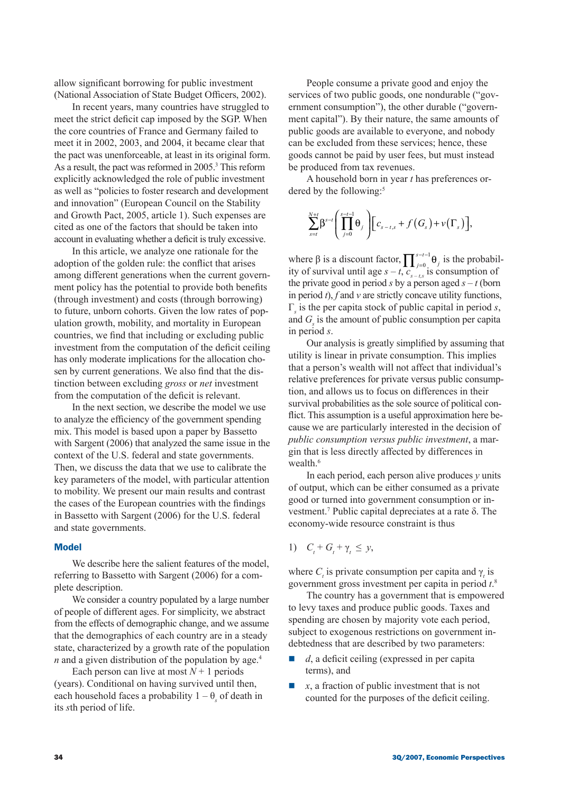allow significant borrowing for public investment (National Association of State Budget Officers, 2002).

In recent years, many countries have struggled to meet the strict deficit cap imposed by the SGP. When the core countries of France and Germany failed to meet it in 2002, 2003, and 2004, it became clear that the pact was unenforceable, at least in its original form. As a result, the pact was reformed in 2005.<sup>3</sup> This reform explicitly acknowledged the role of public investment as well as "policies to foster research and development and innovation" (European Council on the Stability and Growth Pact, 2005, article 1). Such expenses are cited as one of the factors that should be taken into account in evaluating whether a deficit is truly excessive.

In this article, we analyze one rationale for the adoption of the golden rule: the conflict that arises among different generations when the current government policy has the potential to provide both benefits (through investment) and costs (through borrowing) to future, unborn cohorts. Given the low rates of population growth, mobility, and mortality in European countries, we find that including or excluding public investment from the computation of the deficit ceiling has only moderate implications for the allocation chosen by current generations. We also find that the distinction between excluding *gross* or *net* investment from the computation of the deficit is relevant.

In the next section, we describe the model we use to analyze the efficiency of the government spending mix. This model is based upon a paper by Bassetto with Sargent (2006) that analyzed the same issue in the context of the U.S. federal and state governments. Then, we discuss the data that we use to calibrate the key parameters of the model, with particular attention to mobility. We present our main results and contrast the cases of the European countries with the findings in Bassetto with Sargent (2006) for the U.S. federal and state governments.

#### Model

We describe here the salient features of the model, referring to Bassetto with Sargent (2006) for a complete description.

We consider a country populated by a large number of people of different ages. For simplicity, we abstract from the effects of demographic change, and we assume that the demographics of each country are in a steady state, characterized by a growth rate of the population *n* and a given distribution of the population by age.<sup>4</sup>

Each person can live at most  $N+1$  periods (years). Conditional on having survived until then, each household faces a probability  $1 - \theta_s$  of death in its *s*th period of life.

People consume a private good and enjoy the services of two public goods, one nondurable ("government consumption"), the other durable ("government capital"). By their nature, the same amounts of public goods are available to everyone, and nobody can be excluded from these services; hence, these goods cannot be paid by user fees, but must instead be produced from tax revenues.

A household born in year *t* has preferences ordered by the following:<sup>5</sup>

$$
\sum_{s=t}^{N+t} \beta^{s-t} \left( \prod_{j=0}^{s-t-1} \theta_j \right) \left[ c_{s-t,s} + f \left( G_s \right) + v \left( \Gamma_s \right) \right],
$$

where  $\beta$  is a discount factor,  $\prod_{j=0}^{s-t-1} \theta_j$  $\prod_{j=0}^{s-t-1} \theta_j$  is the probability of survival until age  $s - t$ ,  $c_{s-t,s}$  is consumption of the private good in period *s* by a person aged  $s - t$  (born in period *t*), *f* and *v* are strictly concave utility functions, Γ*s* is the per capita stock of public capital in period *s*, and  $G<sub>s</sub>$  is the amount of public consumption per capita in period *s*.

Our analysis is greatly simplified by assuming that utility is linear in private consumption. This implies that a person's wealth will not affect that individual's relative preferences for private versus public consumption, and allows us to focus on differences in their survival probabilities as the sole source of political conflict. This assumption is a useful approximation here because we are particularly interested in the decision of *public consumption versus public investment*, a margin that is less directly affected by differences in wealth.<sup>6</sup>

In each period, each person alive produces *y* units of output, which can be either consumed as a private good or turned into government consumption or investment.7 Public capital depreciates at a rate δ. The economy-wide resource constraint is thus

## 1)  $C_t + G_t + \gamma_t \leq y$ ,

where  $C_t$  is private consumption per capita and  $\gamma_t$  is government gross investment per capita in period *t*. 8

The country has a government that is empowered to levy taxes and produce public goods. Taxes and spending are chosen by majority vote each period, subject to exogenous restrictions on government indebtedness that are described by two parameters:

- $\blacksquare$  *d*, a deficit ceiling (expressed in per capita terms), and
- $\blacksquare$  *x*, a fraction of public investment that is not counted for the purposes of the deficit ceiling.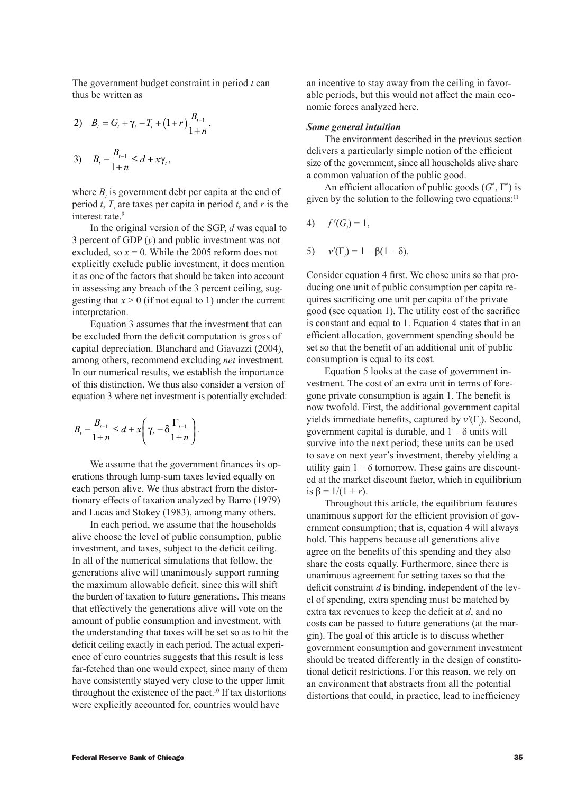The government budget constraint in period *t* can thus be written as

2) 
$$
B_t = G_t + \gamma_t - T_t + (1+r) \frac{B_{t-1}}{1+n},
$$
  
3)  $B_t - \frac{B_{t-1}}{1+n} \le d + x\gamma_t,$ 

where  $B_t$  is government debt per capita at the end of period *t*,  $T<sub>t</sub>$  are taxes per capita in period *t*, and *r* is the interest rate.<sup>9</sup>

In the original version of the SGP, *d* was equal to 3 percent of GDP (*y*) and public investment was not excluded, so  $x = 0$ . While the 2005 reform does not explicitly exclude public investment, it does mention it as one of the factors that should be taken into account in assessing any breach of the 3 percent ceiling, suggesting that  $x > 0$  (if not equal to 1) under the current interpretation.

Equation 3 assumes that the investment that can be excluded from the deficit computation is gross of capital depreciation. Blanchard and Giavazzi (2004), among others, recommend excluding *net* investment. In our numerical results, we establish the importance of this distinction. We thus also consider a version of equation 3 where net investment is potentially excluded:

$$
B_{t} - \frac{B_{t-1}}{1+n} \leq d + x \left(\gamma_{t} - \delta \frac{\Gamma_{t-1}}{1+n}\right).
$$

We assume that the government finances its operations through lump-sum taxes levied equally on each person alive. We thus abstract from the distortionary effects of taxation analyzed by Barro (1979) and Lucas and Stokey (1983), among many others.

In each period, we assume that the households alive choose the level of public consumption, public investment, and taxes, subject to the deficit ceiling. In all of the numerical simulations that follow, the generations alive will unanimously support running the maximum allowable deficit, since this will shift the burden of taxation to future generations. This means that effectively the generations alive will vote on the amount of public consumption and investment, with the understanding that taxes will be set so as to hit the deficit ceiling exactly in each period. The actual experience of euro countries suggests that this result is less far-fetched than one would expect, since many of them have consistently stayed very close to the upper limit throughout the existence of the pact.10 If tax distortions were explicitly accounted for, countries would have

an incentive to stay away from the ceiling in favorable periods, but this would not affect the main economic forces analyzed here.

#### *Some general intuition*

The environment described in the previous section delivers a particularly simple notion of the efficient size of the government, since all households alive share a common valuation of the public good.

An efficient allocation of public goods (*G*\* , Γ\* ) is given by the solution to the following two equations: $11$ 

4) 
$$
f'(G) = 1
$$
,

$$
5) \qquad v'(\Gamma_t) = 1 - \beta(1 - \delta).
$$

Consider equation 4 first. We chose units so that producing one unit of public consumption per capita requires sacrificing one unit per capita of the private good (see equation 1). The utility cost of the sacrifice is constant and equal to 1. Equation 4 states that in an efficient allocation, government spending should be set so that the benefit of an additional unit of public consumption is equal to its cost.

Equation 5 looks at the case of government investment. The cost of an extra unit in terms of foregone private consumption is again 1. The benefit is now twofold. First, the additional government capital yields immediate benefits, captured by *v*′(Γ*<sup>t</sup>* ). Second, government capital is durable, and  $1 - \delta$  units will survive into the next period; these units can be used to save on next year's investment, thereby yielding a utility gain  $1 - \delta$  tomorrow. These gains are discounted at the market discount factor, which in equilibrium is  $\beta = 1/(1 + r)$ .

Throughout this article, the equilibrium features unanimous support for the efficient provision of government consumption; that is, equation 4 will always hold. This happens because all generations alive agree on the benefits of this spending and they also share the costs equally. Furthermore, since there is unanimous agreement for setting taxes so that the deficit constraint *d* is binding, independent of the level of spending, extra spending must be matched by extra tax revenues to keep the deficit at *d*, and no costs can be passed to future generations (at the margin). The goal of this article is to discuss whether government consumption and government investment should be treated differently in the design of constitutional deficit restrictions. For this reason, we rely on an environment that abstracts from all the potential distortions that could, in practice, lead to inefficiency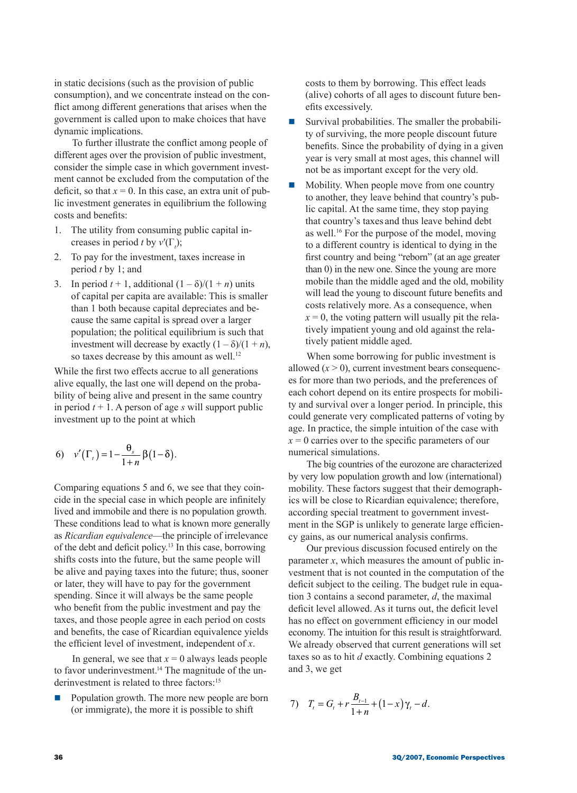in static decisions (such as the provision of public consumption), and we concentrate instead on the conflict among different generations that arises when the government is called upon to make choices that have dynamic implications.

To further illustrate the conflict among people of different ages over the provision of public investment, consider the simple case in which government investment cannot be excluded from the computation of the deficit, so that  $x = 0$ . In this case, an extra unit of public investment generates in equilibrium the following costs and benefits:

- 1. The utility from consuming public capital increases in period *t* by  $v'(\Gamma)$ ;
- 2. To pay for the investment, taxes increase in period *t* by 1; and
- 3. In period  $t + 1$ , additional  $(1 \delta)/(1 + n)$  units of capital per capita are available: This is smaller than 1 both because capital depreciates and because the same capital is spread over a larger population; the political equilibrium is such that investment will decrease by exactly  $(1 - \delta)/(1 + n)$ , so taxes decrease by this amount as well.<sup>12</sup>

While the first two effects accrue to all generations alive equally, the last one will depend on the probability of being alive and present in the same country in period  $t + 1$ . A person of age *s* will support public investment up to the point at which

6) 
$$
v'(\Gamma_t) = 1 - \frac{\theta_s}{1+n} \beta (1-\delta).
$$

Comparing equations 5 and 6, we see that they coincide in the special case in which people are infinitely lived and immobile and there is no population growth. These conditions lead to what is known more generally as *Ricardian equivalence*—the principle of irrelevance of the debt and deficit policy.<sup>13</sup> In this case, borrowing shifts costs into the future, but the same people will be alive and paying taxes into the future; thus, sooner or later, they will have to pay for the government spending. Since it will always be the same people who benefit from the public investment and pay the taxes, and those people agree in each period on costs and benefits, the case of Ricardian equivalence yields the efficient level of investment, independent of *x*.

In general, we see that  $x = 0$  always leads people to favor underinvestment.<sup>14</sup> The magnitude of the underinvestment is related to three factors:<sup>15</sup>

Population growth. The more new people are born (or immigrate), the more it is possible to shift

costs to them by borrowing. This effect leads (alive) cohorts of all ages to discount future benefits excessively.

- $\blacksquare$  Survival probabilities. The smaller the probability of surviving, the more people discount future benefits. Since the probability of dying in a given year is very small at most ages, this channel will not be as important except for the very old.
- $\blacksquare$  Mobility. When people move from one country to another, they leave behind that country's public capital. At the same time, they stop paying that country's taxes and thus leave behind debt as well.16 For the purpose of the model, moving to a different country is identical to dying in the first country and being "reborn" (at an age greater than 0) in the new one. Since the young are more mobile than the middle aged and the old, mobility will lead the young to discount future benefits and costs relatively more. As a consequence, when  $x = 0$ , the voting pattern will usually pit the relatively impatient young and old against the relatively patient middle aged.

When some borrowing for public investment is allowed  $(x > 0)$ , current investment bears consequences for more than two periods, and the preferences of each cohort depend on its entire prospects for mobility and survival over a longer period. In principle, this could generate very complicated patterns of voting by age. In practice, the simple intuition of the case with  $x = 0$  carries over to the specific parameters of our numerical simulations.

The big countries of the eurozone are characterized by very low population growth and low (international) mobility. These factors suggest that their demographics will be close to Ricardian equivalence; therefore, according special treatment to government investment in the SGP is unlikely to generate large efficiency gains, as our numerical analysis confirms.

Our previous discussion focused entirely on the parameter *x*, which measures the amount of public investment that is not counted in the computation of the deficit subject to the ceiling. The budget rule in equation 3 contains a second parameter, *d*, the maximal deficit level allowed. As it turns out, the deficit level has no effect on government efficiency in our model economy. The intuition for this result is straightforward. We already observed that current generations will set taxes so as to hit *d* exactly. Combining equations 2 and 3, we get

7) 
$$
T_t = G_t + r \frac{B_{t-1}}{1+n} + (1-x)\gamma_t - d.
$$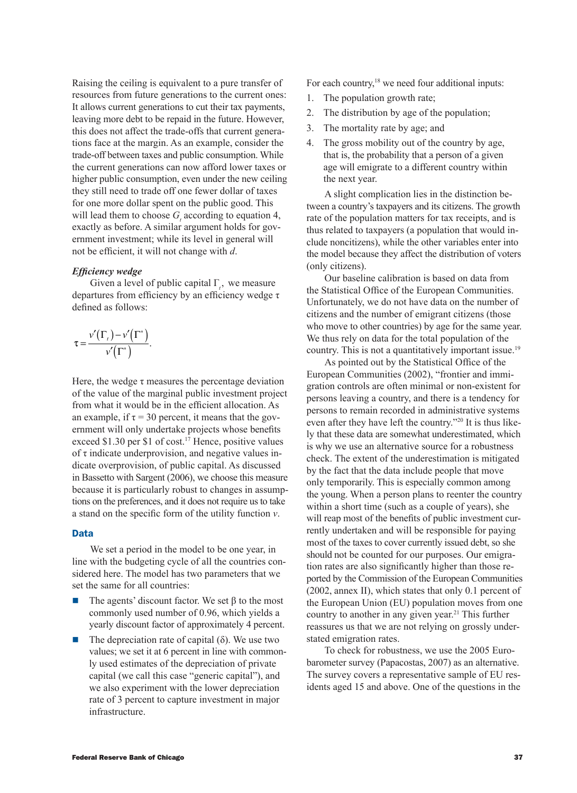Raising the ceiling is equivalent to a pure transfer of resources from future generations to the current ones: It allows current generations to cut their tax payments, leaving more debt to be repaid in the future. However, this does not affect the trade-offs that current generations face at the margin. As an example, consider the trade-off between taxes and public consumption. While the current generations can now afford lower taxes or higher public consumption, even under the new ceiling they still need to trade off one fewer dollar of taxes for one more dollar spent on the public good. This will lead them to choose  $G_t$  according to equation 4, exactly as before. A similar argument holds for government investment; while its level in general will not be efficient, it will not change with *d*.

## *Efficiency wedge*

Given a level of public capital  $\Gamma$ <sub>*t*</sub>, we measure departures from efficiency by an efficiency wedge τ defined as follows:

$$
\tau = \frac{\nu'(\Gamma_{\tau}) - \nu'(\Gamma^*)}{\nu'(\Gamma^*)}.
$$

Here, the wedge  $\tau$  measures the percentage deviation of the value of the marginal public investment project from what it would be in the efficient allocation. As an example, if  $\tau = 30$  percent, it means that the government will only undertake projects whose benefits exceed \$1.30 per \$1 of cost.<sup>17</sup> Hence, positive values of  $\tau$  indicate underprovision, and negative values indicate overprovision, of public capital. As discussed in Bassetto with Sargent (2006), we choose this measure because it is particularly robust to changes in assumptions on the preferences, and it does not require us to take a stand on the specific form of the utility function *v*.

## Data

We set a period in the model to be one year, in line with the budgeting cycle of all the countries considered here. The model has two parameters that we set the same for all countries:

- The agents' discount factor. We set  $\beta$  to the most commonly used number of 0.96, which yields a yearly discount factor of approximately 4 percent.
- $\blacksquare$  The depreciation rate of capital ( $\delta$ ). We use two values; we set it at 6 percent in line with commonly used estimates of the depreciation of private capital (we call this case "generic capital"), and we also experiment with the lower depreciation rate of 3 percent to capture investment in major infrastructure.

For each country,<sup>18</sup> we need four additional inputs:

- 1. The population growth rate;
- 2. The distribution by age of the population;
- 3. The mortality rate by age; and
- 4. The gross mobility out of the country by age, that is, the probability that a person of a given age will emigrate to a different country within the next year.

A slight complication lies in the distinction between a country's taxpayers and its citizens. The growth rate of the population matters for tax receipts, and is thus related to taxpayers (a population that would include noncitizens), while the other variables enter into the model because they affect the distribution of voters (only citizens).

Our baseline calibration is based on data from the Statistical Office of the European Communities. Unfortunately, we do not have data on the number of citizens and the number of emigrant citizens (those who move to other countries) by age for the same year. We thus rely on data for the total population of the country. This is not a quantitatively important issue.<sup>19</sup>

As pointed out by the Statistical Office of the European Communities (2002), "frontier and immigration controls are often minimal or non-existent for persons leaving a country, and there is a tendency for persons to remain recorded in administrative systems even after they have left the country."20 It is thus likely that these data are somewhat underestimated, which is why we use an alternative source for a robustness check. The extent of the underestimation is mitigated by the fact that the data include people that move only temporarily. This is especially common among the young. When a person plans to reenter the country within a short time (such as a couple of years), she will reap most of the benefits of public investment currently undertaken and will be responsible for paying most of the taxes to cover currently issued debt, so she should not be counted for our purposes. Our emigration rates are also significantly higher than those reported by the Commission of the European Communities (2002, annex II), which states that only 0.1 percent of the European Union (EU) population moves from one country to another in any given year.<sup>21</sup> This further reassures us that we are not relying on grossly understated emigration rates.

To check for robustness, we use the 2005 Eurobarometer survey (Papacostas, 2007) as an alternative. The survey covers a representative sample of EU residents aged 15 and above. One of the questions in the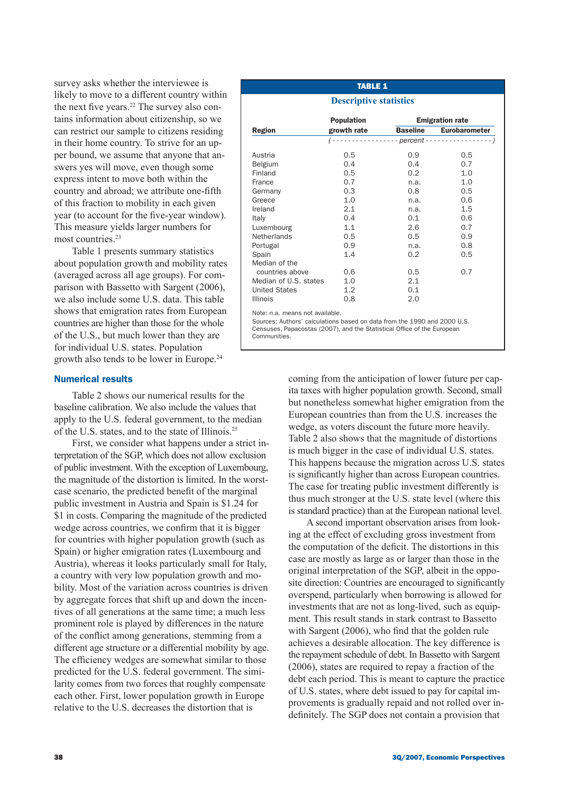survey asks whether the interviewee is likely to move to a different country within the next five years.<sup>22</sup> The survey also contains information about citizenship, so we can restrict our sample to citizens residing in their home country. To strive for an upper bound, we assume that anyone that answers yes will move, even though some express intent to move both within the country and abroad; we attribute one-fifth of this fraction to mobility in each given year (to account for the five-year window). This measure yields larger numbers for most countries.<sup>23</sup>

Table 1 presents summary statistics about population growth and mobility rates (averaged across all age groups). For comparison with Bassetto with Sargent (2006), we also include some U.S. data. This table shows that emigration rates from European countries are higher than those for the whole of the U.S., but much lower than they are for individual U.S. states. Population growth also tends to be lower in Europe.<sup>24</sup>

## Numerical results

Table 2 shows our numerical results for the baseline calibration. We also include the values that apply to the U.S. federal government, to the median of the U.S. states, and to the state of Illinois.25

First, we consider what happens under a strict interpretation of the SGP, which does not allow exclusion of public investment. With the exception of Luxembourg, the magnitude of the distortion is limited. In the worstcase scenario, the predicted benefit of the marginal public investment in Austria and Spain is \$1.24 for \$1 in costs. Comparing the magnitude of the predicted wedge across countries, we confirm that it is bigger for countries with higher population growth (such as Spain) or higher emigration rates (Luxembourg and Austria), whereas it looks particularly small for Italy, a country with very low population growth and mobility. Most of the variation across countries is driven by aggregate forces that shift up and down the incentives of all generations at the same time; a much less prominent role is played by differences in the nature of the conflict among generations, stemming from a different age structure or a differential mobility by age. The efficiency wedges are somewhat similar to those predicted for the U.S. federal government. The similarity comes from two forces that roughly compensate each other. First, lower population growth in Europe relative to the U.S. decreases the distortion that is

### Table 1

#### **Descriptive statistics**

|                                | <b>Population</b> | <b>Emigration rate</b> |                      |  |
|--------------------------------|-------------------|------------------------|----------------------|--|
| <b>Region</b>                  | growth rate       | <b>Baseline</b>        | <b>Eurobarometer</b> |  |
|                                |                   |                        |                      |  |
| Austria                        | 0.5               | $0.9^{\circ}$          | 0.5                  |  |
| Belgium                        | 0.4               | 0.4                    | 0.7                  |  |
| Finland                        | 0.5               | 0.2                    | 1.0                  |  |
| France                         | 0.7               | n.a.                   | 1.0                  |  |
| Germany                        | 0.3               | 0.8                    | 0.5                  |  |
| Greece                         | 1.0               | n.a.                   | 0.6                  |  |
| Ireland                        | 2.1               | n.a.                   | 1.5                  |  |
| Italy                          | 0.4               | 0.1                    | 0.6                  |  |
| Luxembourg                     | 1.1               | 2.6                    | 0.7                  |  |
| Netherlands                    | 0.5               | 0.5                    | 0.9                  |  |
| Portugal                       | 0.9               | n.a.                   | 0.8                  |  |
| Spain                          | 1.4               | 0.2                    | 0.5                  |  |
| Median of the                  |                   |                        |                      |  |
| countries above                | 0.6               | 0.5                    | 0.7                  |  |
| Median of U.S. states          | 1.0               | 2.1                    |                      |  |
| <b>United States</b>           | 1.2               | 0.1                    |                      |  |
| <b>Illinois</b>                | 0.8               | 2.0                    |                      |  |
| Nataun a meanna nat available. |                   |                        |                      |  |

Note: n.a. means not available.

Sources: Authors' calculations based on data from the 1990 and 2000 U.S. Censuses, Papacostas (2007), and the Statistical Office of the European Communities.

> coming from the anticipation of lower future per capita taxes with higher population growth. Second, small but nonetheless somewhat higher emigration from the European countries than from the U.S. increases the wedge, as voters discount the future more heavily. Table 2 also shows that the magnitude of distortions is much bigger in the case of individual U.S. states. This happens because the migration across U.S. states is significantly higher than across European countries. The case for treating public investment differently is thus much stronger at the U.S. state level (where this is standard practice) than at the European national level.

> A second important observation arises from looking at the effect of excluding gross investment from the computation of the deficit. The distortions in this case are mostly as large as or larger than those in the original interpretation of the SGP, albeit in the opposite direction: Countries are encouraged to significantly overspend, particularly when borrowing is allowed for investments that are not as long-lived, such as equipment. This result stands in stark contrast to Bassetto with Sargent (2006), who find that the golden rule achieves a desirable allocation. The key difference is the repayment schedule of debt. In Bassetto with Sargent (2006), states are required to repay a fraction of the debt each period. This is meant to capture the practice of U.S. states, where debt issued to pay for capital improvements is gradually repaid and not rolled over indefinitely. The SGP does not contain a provision that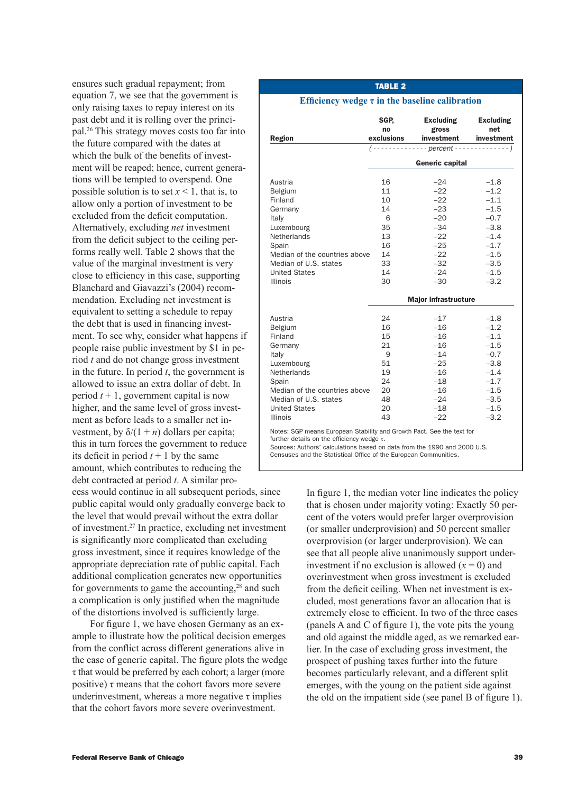ensures such gradual repayment; from equation 7, we see that the government is only raising taxes to repay interest on its past debt and it is rolling over the principal.<sup>26</sup> This strategy moves costs too far into the future compared with the dates at which the bulk of the benefits of investment will be reaped; hence, current generations will be tempted to overspend. One possible solution is to set  $x < 1$ , that is, to allow only a portion of investment to be excluded from the deficit computation. Alternatively, excluding *net* investment from the deficit subject to the ceiling performs really well. Table 2 shows that the value of the marginal investment is very close to efficiency in this case, supporting Blanchard and Giavazzi's (2004) recommendation. Excluding net investment is equivalent to setting a schedule to repay the debt that is used in financing investment. To see why, consider what happens if people raise public investment by \$1 in period *t* and do not change gross investment in the future. In period *t*, the government is allowed to issue an extra dollar of debt. In period  $t + 1$ , government capital is now higher, and the same level of gross investment as before leads to a smaller net investment, by  $\delta/(1 + n)$  dollars per capita; this in turn forces the government to reduce its deficit in period  $t + 1$  by the same amount, which contributes to reducing the debt contracted at period *t*. A similar pro-

cess would continue in all subsequent periods, since public capital would only gradually converge back to the level that would prevail without the extra dollar of investment.27 In practice, excluding net investment is significantly more complicated than excluding gross investment, since it requires knowledge of the appropriate depreciation rate of public capital. Each additional complication generates new opportunities for governments to game the accounting,<sup>28</sup> and such a complication is only justified when the magnitude of the distortions involved is sufficiently large.

For figure 1, we have chosen Germany as an example to illustrate how the political decision emerges from the conflict across different generations alive in the case of generic capital. The figure plots the wedge τ that would be preferred by each cohort; a larger (more positive)  $\tau$  means that the cohort favors more severe underinvestment, whereas a more negative  $\tau$  implies that the cohort favors more severe overinvestment.

## TABLE 2

#### **Efficiency wedge τ in the baseline calibration**

| Region                                                                                                                                                                                       | SGP,<br>no<br>exclusions                                            | <b>Excluding</b><br>gross<br>investment<br>$($ - - - - - - - - - - - - - percent - - - - - - - - - -     | <b>Excluding</b><br>net<br>investment<br>$---)$                                                                      |
|----------------------------------------------------------------------------------------------------------------------------------------------------------------------------------------------|---------------------------------------------------------------------|----------------------------------------------------------------------------------------------------------|----------------------------------------------------------------------------------------------------------------------|
|                                                                                                                                                                                              | Generic capital                                                     |                                                                                                          |                                                                                                                      |
| Austria<br>Belgium<br>Finland<br>Germany<br>Italy<br>Luxembourg<br>Netherlands<br>Spain<br>Median of the countries above<br>Median of U.S. states<br><b>United States</b><br><b>Illinois</b> | 16<br>11<br>10<br>14<br>6<br>35<br>13<br>16<br>14<br>33<br>14<br>30 | $-24$<br>$-22$<br>$-22$<br>$-23$<br>$-20$<br>$-34$<br>$-22$<br>$-25$<br>$-22$<br>$-32$<br>$-24$<br>$-30$ | $-1.8$<br>$-1.2$<br>$-1.1$<br>$-1.5$<br>$-0.7$<br>$-3.8$<br>$-1.4$<br>$-1.7$<br>$-1.5$<br>$-3.5$<br>$-1.5$<br>$-3.2$ |
|                                                                                                                                                                                              | <b>Major infrastructure</b>                                         |                                                                                                          |                                                                                                                      |
| Austria<br>Belgium<br>Finland<br>Germany<br>Italy<br>Luxembourg<br>Netherlands<br>Spain<br>Median of the countries above<br>Median of U.S. states<br><b>United States</b><br><b>Illinois</b> | 24<br>16<br>15<br>21<br>9<br>51<br>19<br>24<br>20<br>48<br>20<br>43 | $-17$<br>$-16$<br>$-16$<br>$-16$<br>$-14$<br>$-25$<br>$-16$<br>$-18$<br>$-16$<br>$-24$<br>$-18$<br>$-22$ | $-1.8$<br>$-1.2$<br>$-1.1$<br>$-1.5$<br>$-0.7$<br>$-3.8$<br>$-1.4$<br>$-1.7$<br>$-1.5$<br>$-3.5$<br>$-1.5$<br>$-3.2$ |
| Notes: SGP means European Stability and Growth Pact. See the text for<br>further details on the efficiency wedge $\tau$ .                                                                    |                                                                     |                                                                                                          |                                                                                                                      |

Sources: Authors' calculations based on data from the 1990 and 2000 U.S. Censuses and the Statistical Office of the European Communities.

> In figure 1, the median voter line indicates the policy that is chosen under majority voting: Exactly 50 percent of the voters would prefer larger overprovision (or smaller underprovision) and 50 percent smaller overprovision (or larger underprovision). We can see that all people alive unanimously support underinvestment if no exclusion is allowed  $(x = 0)$  and overinvestment when gross investment is excluded from the deficit ceiling. When net investment is excluded, most generations favor an allocation that is extremely close to efficient. In two of the three cases (panels A and C of figure 1), the vote pits the young and old against the middle aged, as we remarked earlier. In the case of excluding gross investment, the prospect of pushing taxes further into the future becomes particularly relevant, and a different split

emerges, with the young on the patient side against the old on the impatient side (see panel B of figure 1).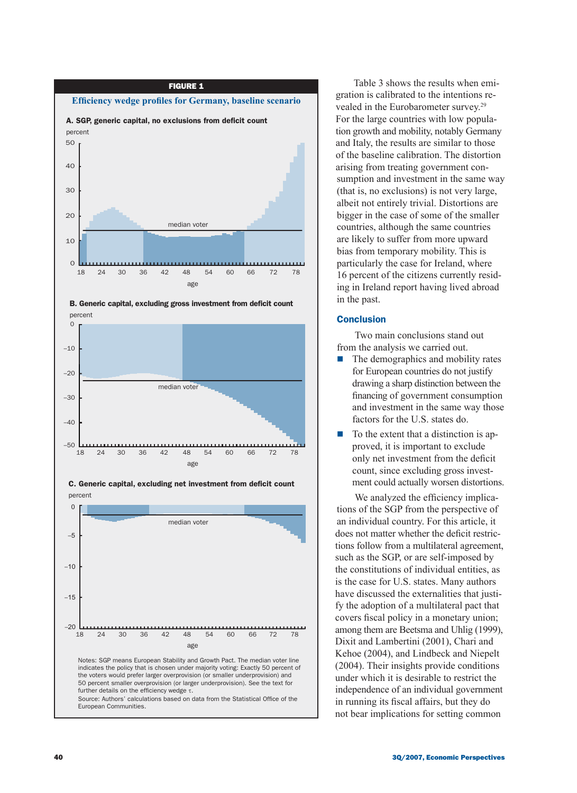





C. Generic capital, excluding net investment from deficit count percent

18 24 30 36 42 48 54 60 66 72 78

age

Table 3 shows the results when emigration is calibrated to the intentions revealed in the Eurobarometer survey.29 For the large countries with low population growth and mobility, notably Germany and Italy, the results are similar to those of the baseline calibration. The distortion arising from treating government consumption and investment in the same way (that is, no exclusions) is not very large, albeit not entirely trivial. Distortions are bigger in the case of some of the smaller countries, although the same countries are likely to suffer from more upward bias from temporary mobility. This is particularly the case for Ireland, where 16 percent of the citizens currently residing in Ireland report having lived abroad in the past.

## **Conclusion**

Two main conclusions stand out from the analysis we carried out.

- $\blacksquare$  The demographics and mobility rates for European countries do not justify drawing a sharp distinction between the financing of government consumption and investment in the same way those factors for the U.S. states do.
- To the extent that a distinction is approved, it is important to exclude only net investment from the deficit count, since excluding gross investment could actually worsen distortions.

We analyzed the efficiency implications of the SGP from the perspective of an individual country. For this article, it does not matter whether the deficit restrictions follow from a multilateral agreement, such as the SGP, or are self-imposed by the constitutions of individual entities, as is the case for U.S. states. Many authors have discussed the externalities that justify the adoption of a multilateral pact that covers fiscal policy in a monetary union; among them are Beetsma and Uhlig (1999), Dixit and Lambertini (2001), Chari and Kehoe (2004), and Lindbeck and Niepelt (2004). Their insights provide conditions under which it is desirable to restrict the independence of an individual government in running its fiscal affairs, but they do not bear implications for setting common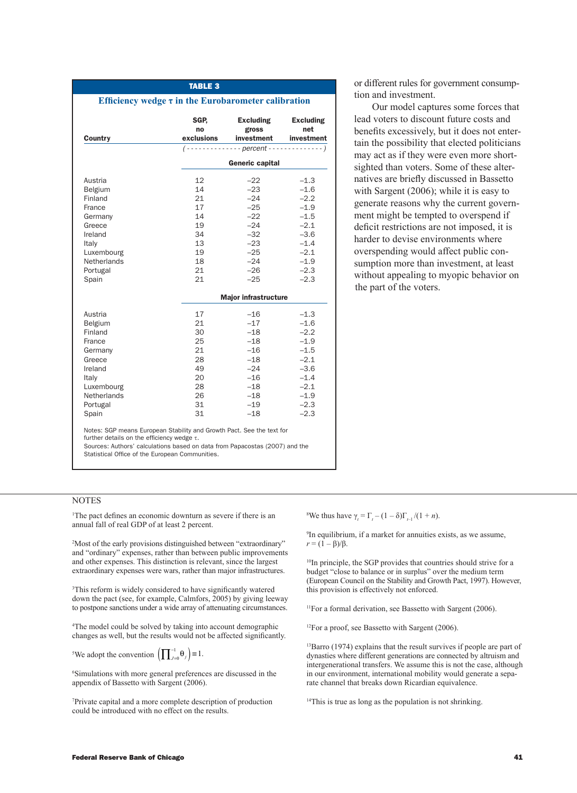|             |                             | investment             | investment |  |
|-------------|-----------------------------|------------------------|------------|--|
|             |                             |                        |            |  |
|             |                             | <b>Generic capital</b> |            |  |
| Austria     | 12                          | $-22$                  | $-1.3$     |  |
| Belgium     | 14                          | $-23$                  | $-1.6$     |  |
| Finland     | 21                          | $-24$                  | $-2.2$     |  |
| France      | 17                          | $-25$                  | $-1.9$     |  |
| Germany     | 14                          | $-22$                  | $-1.5$     |  |
| Greece      | 19                          | $-24$                  | $-2.1$     |  |
| Ireland     | 34                          | $-32$                  | $-3.6$     |  |
| Italy       | 13                          | $-23$                  | $-1.4$     |  |
| Luxembourg  | 19                          | $-25$                  | $-2.1$     |  |
| Netherlands | 18                          | $-24$                  | $-1.9$     |  |
| Portugal    | 21                          | $-26$                  | $-2.3$     |  |
| Spain       | 21                          | $-25$                  | $-2.3$     |  |
|             | <b>Major infrastructure</b> |                        |            |  |
| Austria     | 17                          | $-16$                  | $-1.3$     |  |
| Belgium     | 21                          | $-17$                  | $-1.6$     |  |
| Finland     | 30                          | $-18$                  | $-2.2$     |  |
| France      | 25                          | $-18$                  | $-1.9$     |  |
| Germany     | 21                          | $-16$                  | $-1.5$     |  |
| Greece      | 28                          | $-18$                  | $-2.1$     |  |
| Ireland     | 49                          | $-24$                  | $-3.6$     |  |
| Italy       | 20                          | $-16$                  | $-1.4$     |  |
| Luxembourg  | 28                          | $-18$                  | $-2.1$     |  |
| Netherlands | 26                          | $-18$                  | $-1.9$     |  |
| Portugal    | 31                          | $-19$                  | $-2.3$     |  |
| Spain       | 31                          | $-18$                  | $-2.3$     |  |

Table 3

or different rules for government consumption and investment.

Our model captures some forces that lead voters to discount future costs and benefits excessively, but it does not entertain the possibility that elected politicians may act as if they were even more shortsighted than voters. Some of these alternatives are briefly discussed in Bassetto with Sargent (2006); while it is easy to generate reasons why the current government might be tempted to overspend if deficit restrictions are not imposed, it is harder to devise environments where overspending would affect public consumption more than investment, at least without appealing to myopic behavior on the part of the voters.

**NOTES** 

1 The pact defines an economic downturn as severe if there is an annual fall of real GDP of at least 2 percent.

2 Most of the early provisions distinguished between "extraordinary" and "ordinary" expenses, rather than between public improvements and other expenses. This distinction is relevant, since the largest extraordinary expenses were wars, rather than major infrastructures.

3 This reform is widely considered to have significantly watered down the pact (see, for example, Calmfors, 2005) by giving leeway to postpone sanctions under a wide array of attenuating circumstances.

4 The model could be solved by taking into account demographic changes as well, but the results would not be affected significantly.

<sup>5</sup>We adopt the convention  $\left(\prod_{j=0}^{-1} \theta_j\right) \equiv 1$ .

6 Simulations with more general preferences are discussed in the appendix of Bassetto with Sargent (2006).

7 Private capital and a more complete description of production could be introduced with no effect on the results.

<sup>8</sup>We thus have  $\gamma_t = \Gamma_t - (1 - \delta)\Gamma_{t-1} / (1 + n)$ .

9 In equilibrium, if a market for annuities exists, as we assume,  $r = (1 - \beta)/\beta$ .

<sup>10</sup>In principle, the SGP provides that countries should strive for a budget "close to balance or in surplus" over the medium term (European Council on the Stability and Growth Pact, 1997). However, this provision is effectively not enforced.

<sup>11</sup>For a formal derivation, see Bassetto with Sargent (2006).

<sup>12</sup>For a proof, see Bassetto with Sargent (2006).

<sup>13</sup>Barro (1974) explains that the result survives if people are part of dynasties where different generations are connected by altruism and intergenerational transfers. We assume this is not the case, although in our environment, international mobility would generate a separate channel that breaks down Ricardian equivalence.

<sup>14</sup>This is true as long as the population is not shrinking.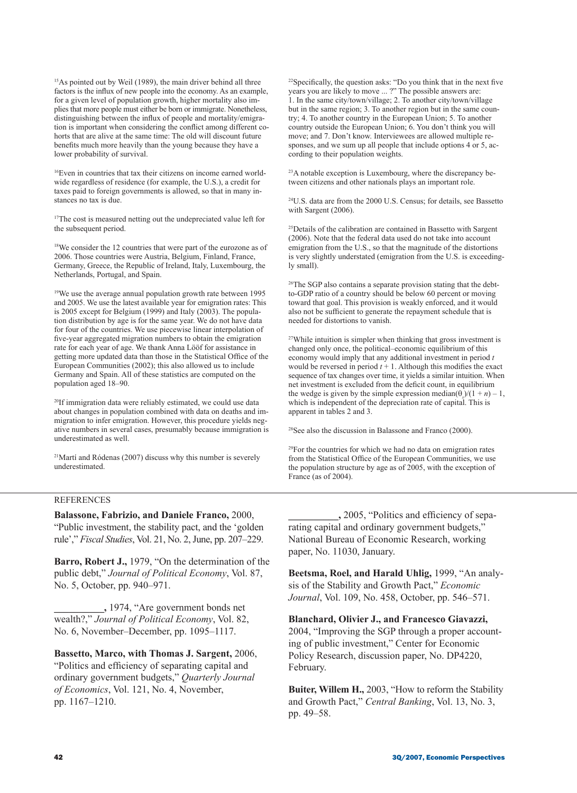<sup>15</sup>As pointed out by Weil (1989), the main driver behind all three factors is the influx of new people into the economy. As an example, for a given level of population growth, higher mortality also implies that more people must either be born or immigrate. Nonetheless, distinguishing between the influx of people and mortality/emigration is important when considering the conflict among different cohorts that are alive at the same time: The old will discount future benefits much more heavily than the young because they have a lower probability of survival.

16Even in countries that tax their citizens on income earned worldwide regardless of residence (for example, the U.S.), a credit for taxes paid to foreign governments is allowed, so that in many instances no tax is due.

<sup>17</sup>The cost is measured netting out the undepreciated value left for the subsequent period.

<sup>18</sup>We consider the 12 countries that were part of the eurozone as of 2006. Those countries were Austria, Belgium, Finland, France, Germany, Greece, the Republic of Ireland, Italy, Luxembourg, the Netherlands, Portugal, and Spain.

<sup>19</sup>We use the average annual population growth rate between 1995 and 2005. We use the latest available year for emigration rates: This is 2005 except for Belgium (1999) and Italy (2003). The population distribution by age is for the same year. We do not have data for four of the countries. We use piecewise linear interpolation of five-year aggregated migration numbers to obtain the emigration rate for each year of age. We thank Anna Lööf for assistance in getting more updated data than those in the Statistical Office of the European Communities (2002); this also allowed us to include Germany and Spain. All of these statistics are computed on the population aged 18–90.

20If immigration data were reliably estimated, we could use data about changes in population combined with data on deaths and immigration to infer emigration. However, this procedure yields negative numbers in several cases, presumably because immigration is underestimated as well.

21Martí and Ródenas (2007) discuss why this number is severely underestimated.

22Specifically, the question asks: "Do you think that in the next five years you are likely to move ... ?" The possible answers are: 1. In the same city/town/village; 2. To another city/town/village but in the same region; 3. To another region but in the same country; 4. To another country in the European Union; 5. To another country outside the European Union; 6. You don't think you will move; and 7. Don't know. Interviewees are allowed multiple responses, and we sum up all people that include options 4 or 5, according to their population weights.

<sup>23</sup>A notable exception is Luxembourg, where the discrepancy between citizens and other nationals plays an important role.

24U.S. data are from the 2000 U.S. Census; for details, see Bassetto with Sargent (2006).

25Details of the calibration are contained in Bassetto with Sargent (2006). Note that the federal data used do not take into account emigration from the U.S., so that the magnitude of the distortions is very slightly understated (emigration from the U.S. is exceedingly small).

<sup>26</sup>The SGP also contains a separate provision stating that the debtto-GDP ratio of a country should be below 60 percent or moving toward that goal. This provision is weakly enforced, and it would also not be sufficient to generate the repayment schedule that is needed for distortions to vanish.

<sup>27</sup>While intuition is simpler when thinking that gross investment is changed only once, the political–economic equilibrium of this economy would imply that any additional investment in period *t* would be reversed in period  $t + 1$ . Although this modifies the exact sequence of tax changes over time, it yields a similar intuition. When net investment is excluded from the deficit count, in equilibrium the wedge is given by the simple expression median( $\theta_s$ )/(1 + *n*) – 1, which is independent of the depreciation rate of capital. This is apparent in tables 2 and 3.

28See also the discussion in Balassone and Franco (2000).

<sup>29</sup>For the countries for which we had no data on emigration rates from the Statistical Office of the European Communities, we use the population structure by age as of  $2005$ , with the exception of France (as of 2004).

## **REFERENCES**

**Balassone, Fabrizio, and Daniele Franco,** 2000, "Public investment, the stability pact, and the 'golden rule'," *Fiscal Studies*, Vol. 21, No. 2, June, pp. 207–229.

**Barro, Robert J.,** 1979, "On the determination of the public debt," *Journal of Political Economy*, Vol. 87, No. 5, October, pp. 940–971.

**\_\_\_\_\_\_\_\_\_\_,** 1974, "Are government bonds net wealth?," *Journal of Political Economy*, Vol. 82, No. 6, November–December, pp. 1095–1117.

**Bassetto, Marco, with Thomas J. Sargent,** 2006, "Politics and efficiency of separating capital and ordinary government budgets," *Quarterly Journal of Economics*, Vol. 121, No. 4, November, pp. 1167–1210.

**\_\_\_\_\_\_\_\_\_\_,** 2005, "Politics and efficiency of separating capital and ordinary government budgets," National Bureau of Economic Research, working paper, No. 11030, January.

**Beetsma, Roel, and Harald Uhlig,** 1999, "An analysis of the Stability and Growth Pact," *Economic Journal*, Vol. 109, No. 458, October, pp. 546–571.

**Blanchard, Olivier J., and Francesco Giavazzi,**  2004, "Improving the SGP through a proper accounting of public investment," Center for Economic Policy Research, discussion paper, No. DP4220, February.

**Buiter, Willem H.,** 2003, "How to reform the Stability and Growth Pact," *Central Banking*, Vol. 13, No. 3, pp. 49–58.